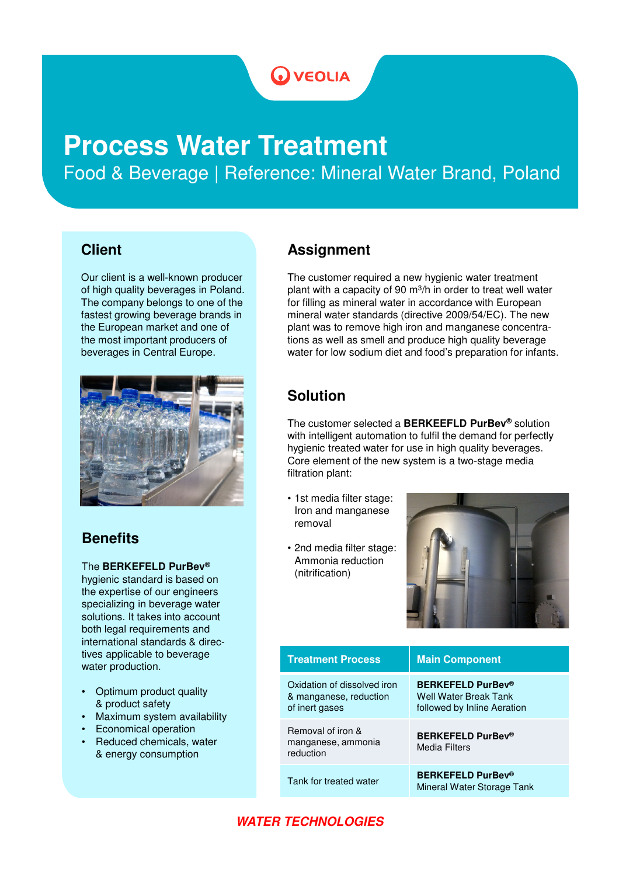# **OVEOLIA**

# **Process Water Treatment**

Food & Beverage | Reference: Mineral Water Brand, Poland

#### **Client**

Our client is a well-known producer of high quality beverages in Poland. The company belongs to one of the fastest growing beverage brands in the European market and one of the most important producers of beverages in Central Europe.



## **Benefits**

The **BERKEFELD PurBev®**

hygienic standard is based on the expertise of our engineers specializing in beverage water solutions. It takes into account both legal requirements and international standards & directives applicable to beverage water production.

- Optimum product quality & product safety
- Maximum system availability
- Economical operation
- Reduced chemicals, water & energy consumption

#### **Assignment**

The customer required a new hygienic water treatment plant with a capacity of 90 m<sup>3</sup>/h in order to treat well water for filling as mineral water in accordance with European mineral water standards (directive 2009/54/EC). The new plant was to remove high iron and manganese concentrations as well as smell and produce high quality beverage water for low sodium diet and food's preparation for infants.

## **Solution**

The customer selected a **BERKEEFLD PurBev®** solution with intelligent automation to fulfil the demand for perfectly hygienic treated water for use in high quality beverages. Core element of the new system is a two-stage media filtration plant:

- 1st media filter stage: Iron and manganese removal
- 2nd media filter stage: Ammonia reduction (nitrification)



| <b>Treatment Process</b>                                                | <b>Main Component</b>                                                            |
|-------------------------------------------------------------------------|----------------------------------------------------------------------------------|
| Oxidation of dissolved iron<br>& manganese, reduction<br>of inert gases | <b>BERKEFELD PurBev®</b><br>Well Water Break Tank<br>followed by Inline Aeration |
| Removal of iron &<br>manganese, ammonia<br>reduction                    | <b>BERKEFELD PurBev®</b><br>Media Filters                                        |
| Tank for treated water                                                  | <b>BERKEFELD PurBev®</b><br>Mineral Water Storage Tank                           |

#### **WATER TECHNOLOGIES**